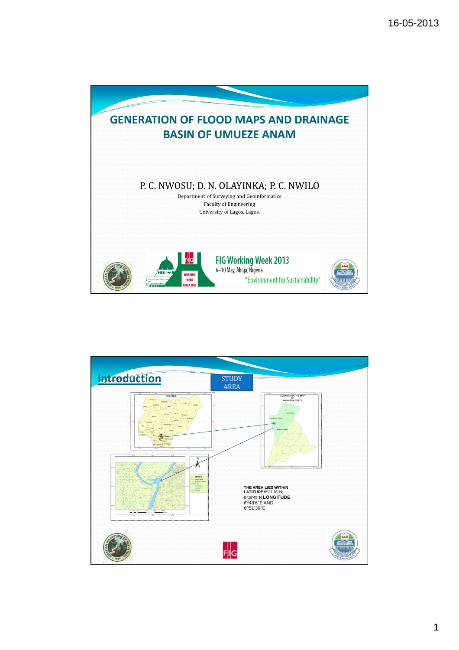



1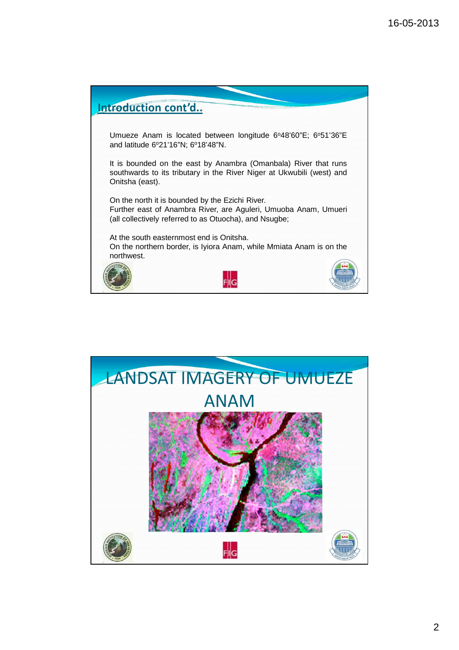

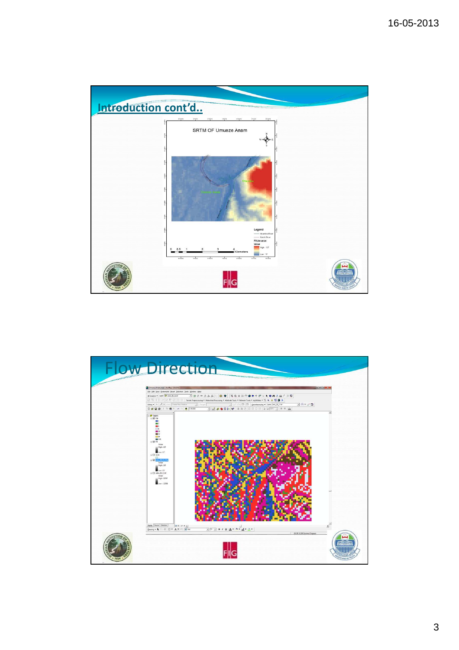

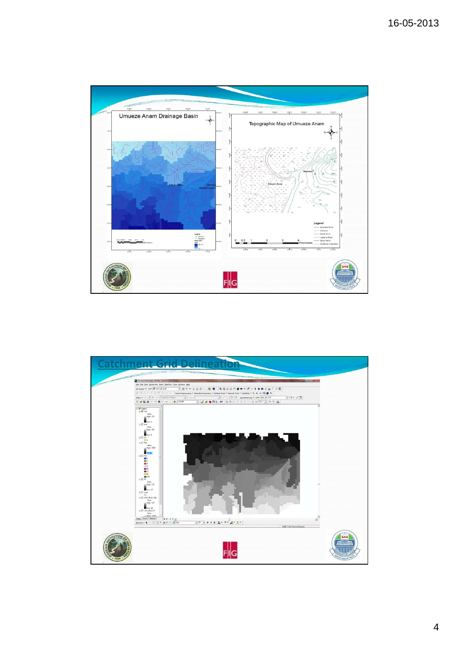

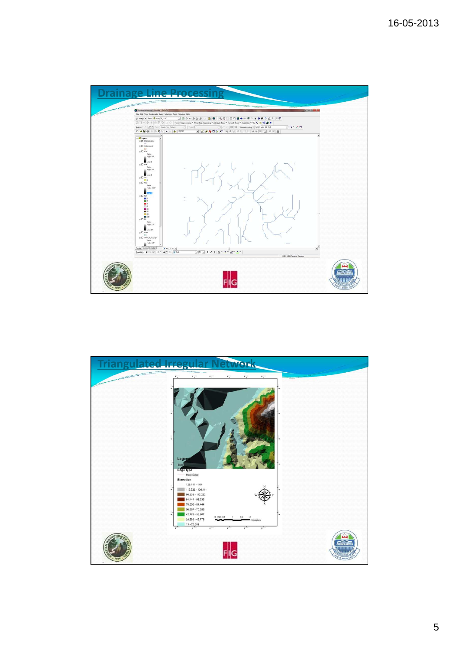

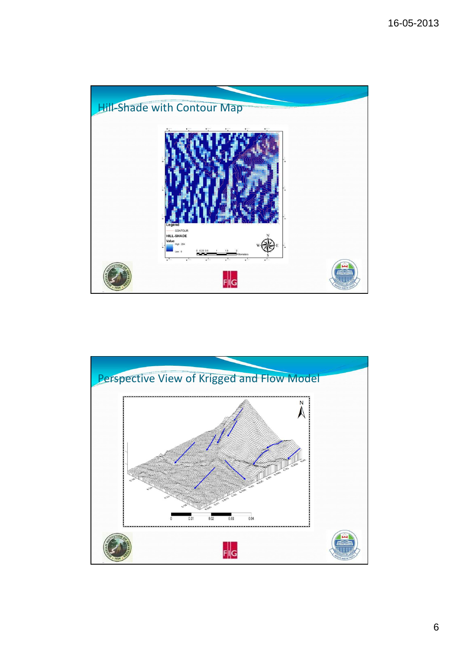

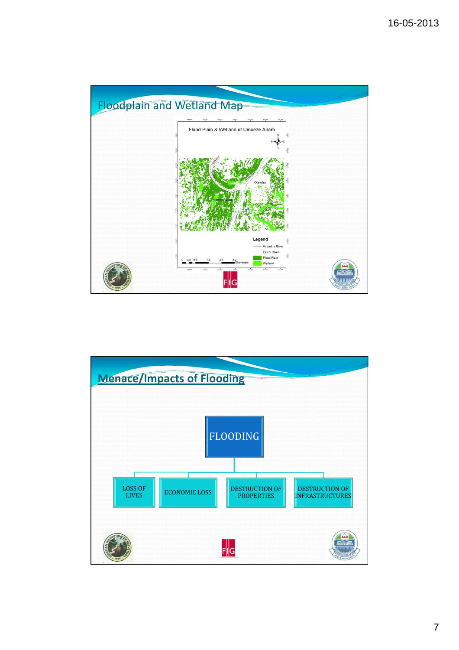

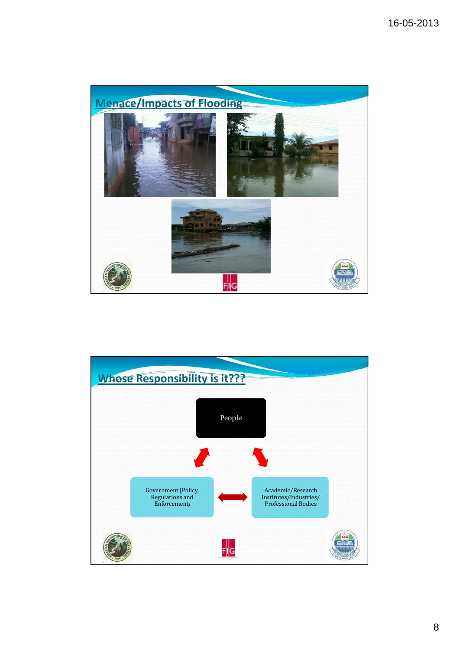